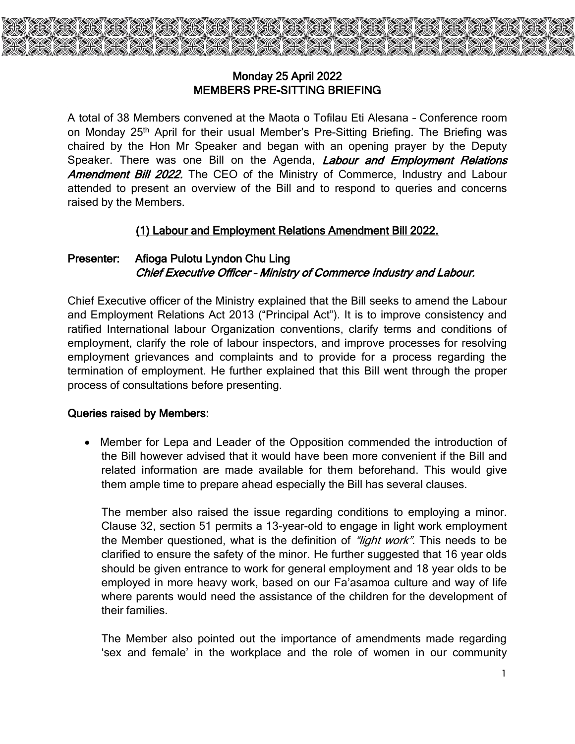

## Monday 25 April 2022 MEMBERS PRE-SITTING BRIEFING

A total of 38 Members convened at the Maota o Tofilau Eti Alesana – Conference room on Monday 25<sup>th</sup> April for their usual Member's Pre-Sitting Briefing. The Briefing was chaired by the Hon Mr Speaker and began with an opening prayer by the Deputy Speaker. There was one Bill on the Agenda, *Labour and Employment Relations* Amendment Bill 2022. The CEO of the Ministry of Commerce, Industry and Labour attended to present an overview of the Bill and to respond to queries and concerns raised by the Members.

## (1) Labour and Employment Relations Amendment Bill 2022.

## Presenter: Afioga Pulotu Lyndon Chu Ling Chief Executive Officer – Ministry of Commerce Industry and Labour.

Chief Executive officer of the Ministry explained that the Bill seeks to amend the Labour and Employment Relations Act 2013 ("Principal Act"). It is to improve consistency and ratified International labour Organization conventions, clarify terms and conditions of employment, clarify the role of labour inspectors, and improve processes for resolving employment grievances and complaints and to provide for a process regarding the termination of employment. He further explained that this Bill went through the proper process of consultations before presenting.

## Queries raised by Members:

 Member for Lepa and Leader of the Opposition commended the introduction of the Bill however advised that it would have been more convenient if the Bill and related information are made available for them beforehand. This would give them ample time to prepare ahead especially the Bill has several clauses.

The member also raised the issue regarding conditions to employing a minor. Clause 32, section 51 permits a 13-year-old to engage in light work employment the Member questioned, what is the definition of "light work". This needs to be clarified to ensure the safety of the minor. He further suggested that 16 year olds should be given entrance to work for general employment and 18 year olds to be employed in more heavy work, based on our Fa'asamoa culture and way of life where parents would need the assistance of the children for the development of their families.

The Member also pointed out the importance of amendments made regarding 'sex and female' in the workplace and the role of women in our community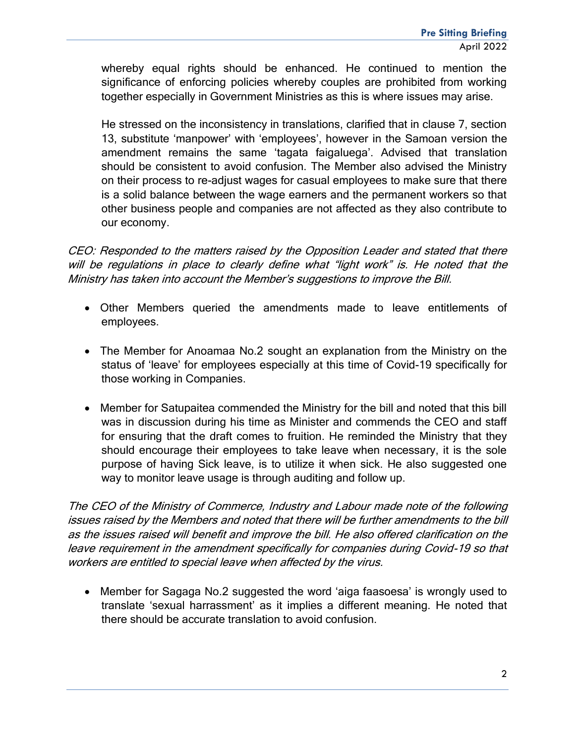whereby equal rights should be enhanced. He continued to mention the significance of enforcing policies whereby couples are prohibited from working together especially in Government Ministries as this is where issues may arise.

He stressed on the inconsistency in translations, clarified that in clause 7, section 13, substitute 'manpower' with 'employees', however in the Samoan version the amendment remains the same 'tagata faigaluega'. Advised that translation should be consistent to avoid confusion. The Member also advised the Ministry on their process to re-adjust wages for casual employees to make sure that there is a solid balance between the wage earners and the permanent workers so that other business people and companies are not affected as they also contribute to our economy.

CEO: Responded to the matters raised by the Opposition Leader and stated that there will be regulations in place to clearly define what "light work" is. He noted that the Ministry has taken into account the Member's suggestions to improve the Bill.

- Other Members queried the amendments made to leave entitlements of employees.
- The Member for Anoamaa No.2 sought an explanation from the Ministry on the status of 'leave' for employees especially at this time of Covid-19 specifically for those working in Companies.
- Member for Satupaitea commended the Ministry for the bill and noted that this bill was in discussion during his time as Minister and commends the CEO and staff for ensuring that the draft comes to fruition. He reminded the Ministry that they should encourage their employees to take leave when necessary, it is the sole purpose of having Sick leave, is to utilize it when sick. He also suggested one way to monitor leave usage is through auditing and follow up.

The CEO of the Ministry of Commerce, Industry and Labour made note of the following issues raised by the Members and noted that there will be further amendments to the bill as the issues raised will benefit and improve the bill. He also offered clarification on the leave requirement in the amendment specifically for companies during Covid-19 so that workers are entitled to special leave when affected by the virus.

 Member for Sagaga No.2 suggested the word 'aiga faasoesa' is wrongly used to translate 'sexual harrassment' as it implies a different meaning. He noted that there should be accurate translation to avoid confusion.